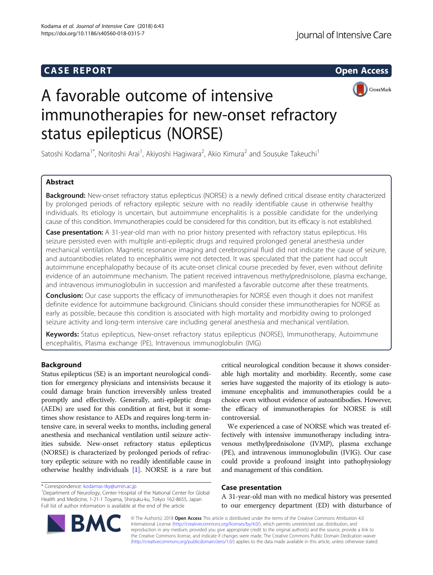# **CASE REPORT CASE REPORT**



# A favorable outcome of intensive immunotherapies for new-onset refractory status epilepticus (NORSE)

Satoshi Kodama<sup>1\*</sup>, Noritoshi Arai<sup>1</sup>, Akiyoshi Hagiwara<sup>2</sup>, Akio Kimura<sup>2</sup> and Sousuke Takeuchi<sup>1</sup>

# Abstract

Background: New-onset refractory status epilepticus (NORSE) is a newly defined critical disease entity characterized by prolonged periods of refractory epileptic seizure with no readily identifiable cause in otherwise healthy individuals. Its etiology is uncertain, but autoimmune encephalitis is a possible candidate for the underlying cause of this condition. Immunotherapies could be considered for this condition, but its efficacy is not established.

Case presentation: A 31-year-old man with no prior history presented with refractory status epilepticus. His seizure persisted even with multiple anti-epileptic drugs and required prolonged general anesthesia under mechanical ventilation. Magnetic resonance imaging and cerebrospinal fluid did not indicate the cause of seizure, and autoantibodies related to encephalitis were not detected. It was speculated that the patient had occult autoimmune encephalopathy because of its acute-onset clinical course preceded by fever, even without definite evidence of an autoimmune mechanism. The patient received intravenous methylprednisolone, plasma exchange, and intravenous immunoglobulin in succession and manifested a favorable outcome after these treatments.

**Conclusion:** Our case supports the efficacy of immunotherapies for NORSE even though it does not manifest definite evidence for autoimmune background. Clinicians should consider these immunotherapies for NORSE as early as possible, because this condition is associated with high mortality and morbidity owing to prolonged seizure activity and long-term intensive care including general anesthesia and mechanical ventilation.

Keywords: Status epilepticus, New-onset refractory status epilepticus (NORSE), Immunotherapy, Autoimmune encephalitis, Plasma exchange (PE), Intravenous immunoglobulin (IVIG)

# Background

Status epilepticus (SE) is an important neurological condition for emergency physicians and intensivists because it could damage brain function irreversibly unless treated promptly and effectively. Generally, anti-epileptic drugs (AEDs) are used for this condition at first, but it sometimes show resistance to AEDs and requires long-term intensive care, in several weeks to months, including general anesthesia and mechanical ventilation until seizure activities subside. New-onset refractory status epilepticus (NORSE) is characterized by prolonged periods of refractory epileptic seizure with no readily identifiable cause in otherwise healthy individuals [\[1\]](#page-4-0). NORSE is a rare but critical neurological condition because it shows considerable high mortality and morbidity. Recently, some case series have suggested the majority of its etiology is autoimmune encephalitis and immunotherapies could be a choice even without evidence of autoantibodies. However, the efficacy of immunotherapies for NORSE is still controversial.

We experienced a case of NORSE which was treated effectively with intensive immunotherapy including intravenous methylprednisolone (IVMP), plasma exchange (PE), and intravenous immunoglobulin (IVIG). Our case could provide a profound insight into pathophysiology and management of this condition.

## Case presentation

A 31-year-old man with no medical history was presented to our emergency department (ED) with disturbance of

© The Author(s). 2018 Open Access This article is distributed under the terms of the Creative Commons Attribution 4.0 International License [\(http://creativecommons.org/licenses/by/4.0/](http://creativecommons.org/licenses/by/4.0/)), which permits unrestricted use, distribution, and reproduction in any medium, provided you give appropriate credit to the original author(s) and the source, provide a link to the Creative Commons license, and indicate if changes were made. The Creative Commons Public Domain Dedication waiver [\(http://creativecommons.org/publicdomain/zero/1.0/](http://creativecommons.org/publicdomain/zero/1.0/)) applies to the data made available in this article, unless otherwise stated.



<sup>\*</sup> Correspondence: [kodamas-tky@umin.ac.jp](mailto:kodamas-tky@umin.ac.jp) <sup>1</sup>

<sup>&</sup>lt;sup>1</sup>Department of Neurology, Center Hospital of the National Center for Global Health and Medicine, 1-21-1 Toyama, Shinjuku-ku, Tokyo 162-8655, Japan Full list of author information is available at the end of the article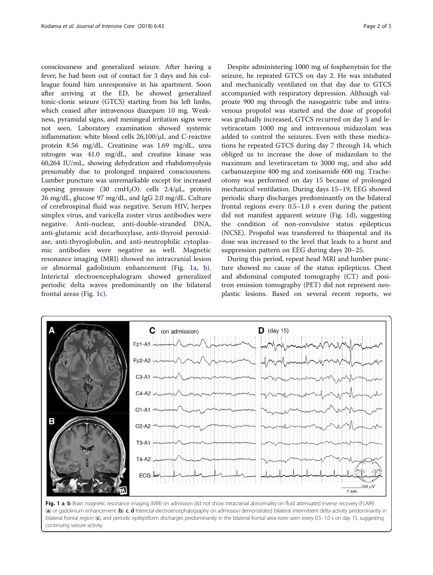consciousness and generalized seizure. After having a fever, he had been out of contact for 3 days and his colleague found him unresponsive in his apartment. Soon after arriving at the ED, he showed generalized tonic-clonic seizure (GTCS) starting from his left limbs, which ceased after intravenous diazepam 10 mg. Weakness, pyramidal signs, and meningeal irritation signs were not seen. Laboratory examination showed systemic inflammation: white blood cells 26,100/μL and C-reactive protein 8.56 mg/dL. Creatinine was 1.69 mg/dL, urea nitrogen was 41.0 mg/dL, and creatine kinase was 60,264 IU/mL, showing dehydration and rhabdomyolysis presumably due to prolonged impaired consciousness. Lumber puncture was unremarkable except for increased opening pressure (30 cmH2O): cells 2.4/μL, protein 26 mg/dL, glucose 97 mg/dL, and IgG 2.0 mg/dL. Culture of cerebrospinal fluid was negative. Serum HIV, herpes simplex virus, and varicella zoster virus antibodies were negative. Anti-nuclear, anti-double-stranded DNA, anti-glutamic acid decarboxylase, anti-thyroid peroxidase, anti-thyroglobulin, and anti-neutrophilic cytoplasmic antibodies were negative as well. Magnetic resonance imaging (MRI) showed no intracranial lesion or abnormal gadolinium enhancement (Fig. 1a, b). Interictal electroencephalogram showed generalized periodic delta waves predominantly on the bilateral frontal areas (Fig. 1c).

Despite administering 1000 mg of fosphenytoin for the seizure, he repeated GTCS on day 2. He was intubated and mechanically ventilated on that day due to GTCS accompanied with respiratory depression. Although valproate 900 mg through the nasogastric tube and intravenous propofol was started and the dose of propofol was gradually increased, GTCS recurred on day 5 and levetiracetam 1000 mg and intravenous midazolam was added to control the seizures. Even with these medications he repeated GTCS during day 7 through 14, which obliged us to increase the dose of midazolam to the maximum and levetiracetam to 3000 mg, and also add carbamazepine 400 mg and zonisamide 600 mg. Tracheotomy was performed on day 15 because of prolonged mechanical ventilation. During days 15–19, EEG showed periodic sharp discharges predominantly on the bilateral frontal regions every 0.5–1.0 s even during the patient did not manifest apparent seizure (Fig. 1d), suggesting the condition of non-convulsive status epilepticus (NCSE). Propofol was transferred to thiopental and its dose was increased to the level that leads to a burst and suppression pattern on EEG during days 20–25.

During this period, repeat head MRI and lumber puncture showed no cause of the status epilepticus. Chest and abdominal computed tomography (CT) and positron emission tomography (PET) did not represent neoplastic lesions. Based on several recent reports, we



Fig. 1 a, b Brain magnetic resonance imaging (MRI) on admission did not show intracranial abnormality on fluid attenuated inverse recovery (FLAIR) (a) or gadolinium enhancement (b). c, d Interictal electroencephalography on admission demonstrated bilateral intermittent delta activity predominantly in bilateral frontal region (c), and periodic epileptiform discharges predominantly in the bilateral frontal area were seen every 0.5-1.0 s on day 15, suggesting continuing seizure activity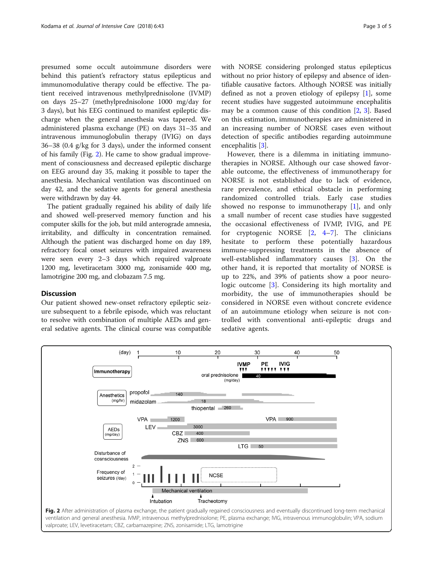presumed some occult autoimmune disorders were behind this patient's refractory status epilepticus and immunomodulative therapy could be effective. The patient received intravenous methylprednisolone (IVMP) on days 25–27 (methylprednisolone 1000 mg/day for 3 days), but his EEG continued to manifest epileptic discharge when the general anesthesia was tapered. We administered plasma exchange (PE) on days 31–35 and intravenous immunoglobulin therapy (IVIG) on days 36–38 (0.4 g/kg for 3 days), under the informed consent of his family (Fig. 2). He came to show gradual improvement of consciousness and decreased epileptic discharge on EEG around day 35, making it possible to taper the anesthesia. Mechanical ventilation was discontinued on day 42, and the sedative agents for general anesthesia were withdrawn by day 44.

The patient gradually regained his ability of daily life and showed well-preserved memory function and his computer skills for the job, but mild anterograde amnesia, irritability, and difficulty in concentration remained. Although the patient was discharged home on day 189, refractory focal onset seizures with impaired awareness were seen every 2–3 days which required valproate 1200 mg, levetiracetam 3000 mg, zonisamide 400 mg, lamotrigine 200 mg, and clobazam 7.5 mg.

# **Discussion**

Our patient showed new-onset refractory epileptic seizure subsequent to a febrile episode, which was reluctant to resolve with combination of multiple AEDs and general sedative agents. The clinical course was compatible with NORSE considering prolonged status epilepticus without no prior history of epilepsy and absence of identifiable causative factors. Although NORSE was initially defined as not a proven etiology of epilepsy [\[1](#page-4-0)], some recent studies have suggested autoimmune encephalitis may be a common cause of this condition [[2,](#page-4-0) [3\]](#page-4-0). Based on this estimation, immunotherapies are administered in an increasing number of NORSE cases even without detection of specific antibodies regarding autoimmune encephalitis [[3\]](#page-4-0).

However, there is a dilemma in initiating immunotherapies in NORSE. Although our case showed favorable outcome, the effectiveness of immunotherapy for NORSE is not established due to lack of evidence, rare prevalence, and ethical obstacle in performing randomized controlled trials. Early case studies showed no response to immunotherapy  $[1]$  $[1]$ , and only a small number of recent case studies have suggested the occasional effectiveness of IVMP, IVIG, and PE for cryptogenic NORSE [[2,](#page-4-0) [4](#page-4-0)–[7\]](#page-4-0). The clinicians hesitate to perform these potentially hazardous immune-suppressing treatments in the absence of well-established inflammatory causes [[3\]](#page-4-0). On the other hand, it is reported that mortality of NORSE is up to 22%, and 39% of patients show a poor neurologic outcome [\[3](#page-4-0)]. Considering its high mortality and morbidity, the use of immunotherapies should be considered in NORSE even without concrete evidence of an autoimmune etiology when seizure is not controlled with conventional anti-epileptic drugs and sedative agents.



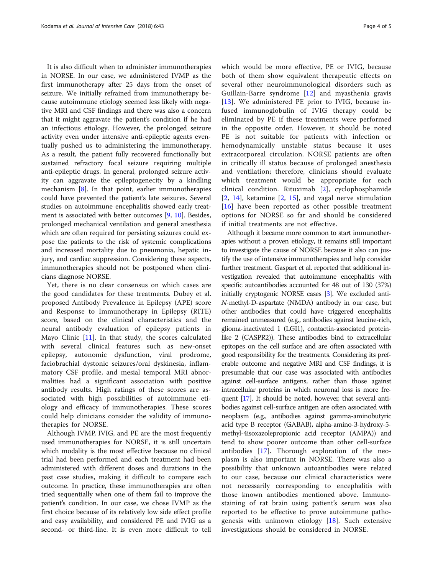It is also difficult when to administer immunotherapies in NORSE. In our case, we administered IVMP as the first immunotherapy after 25 days from the onset of seizure. We initially refrained from immunotherapy because autoimmune etiology seemed less likely with negative MRI and CSF findings and there was also a concern that it might aggravate the patient's condition if he had an infectious etiology. However, the prolonged seizure activity even under intensive anti-epileptic agents eventually pushed us to administering the immunotherapy. As a result, the patient fully recovered functionally but sustained refractory focal seizure requiring multiple anti-epileptic drugs. In general, prolonged seizure activity can aggravate the epileptogenecity by a kindling mechanism [\[8](#page-4-0)]. In that point, earlier immunotherapies could have prevented the patient's late seizures. Several studies on autoimmune encephalitis showed early treatment is associated with better outcomes [[9](#page-4-0), [10\]](#page-4-0). Besides, prolonged mechanical ventilation and general anesthesia which are often required for persisting seizures could expose the patients to the risk of systemic complications and increased mortality due to pneumonia, hepatic injury, and cardiac suppression. Considering these aspects, immunotherapies should not be postponed when clinicians diagnose NORSE.

Yet, there is no clear consensus on which cases are the good candidates for these treatments. Dubey et al. proposed Antibody Prevalence in Epilepsy (APE) score and Response to Immunotherapy in Epilepsy (RITE) score, based on the clinical characteristics and the neural antibody evaluation of epilepsy patients in Mayo Clinic [\[11](#page-4-0)]. In that study, the scores calculated with several clinical features such as new-onset epilepsy, autonomic dysfunction, viral prodrome, faciobrachial dystonic seizures/oral dyskinesia, inflammatory CSF profile, and mesial temporal MRI abnormalities had a significant association with positive antibody results. High ratings of these scores are associated with high possibilities of autoimmune etiology and efficacy of immunotherapies. These scores could help clinicians consider the validity of immunotherapies for NORSE.

Although IVMP, IVIG, and PE are the most frequently used immunotherapies for NORSE, it is still uncertain which modality is the most effective because no clinical trial had been performed and each treatment had been administered with different doses and durations in the past case studies, making it difficult to compare each outcome. In practice, these immunotherapies are often tried sequentially when one of them fail to improve the patient's condition. In our case, we chose IVMP as the first choice because of its relatively low side effect profile and easy availability, and considered PE and IVIG as a second- or third-line. It is even more difficult to tell which would be more effective, PE or IVIG, because both of them show equivalent therapeutic effects on several other neuroimmunological disorders such as Guillain-Barre syndrome [[12](#page-4-0)] and myasthenia gravis [[13](#page-4-0)]. We administered PE prior to IVIG, because infused immunoglobulin of IVIG therapy could be eliminated by PE if these treatments were performed in the opposite order. However, it should be noted PE is not suitable for patients with infection or hemodynamically unstable status because it uses extracorporeal circulation. NORSE patients are often in critically ill status because of prolonged anesthesia and ventilation; therefore, clinicians should evaluate which treatment would be appropriate for each clinical condition. Rituximab [[2\]](#page-4-0), cyclophosphamide [[2](#page-4-0), [14\]](#page-4-0), ketamine [[2](#page-4-0), [15\]](#page-4-0), and vagal nerve stimulation [[16](#page-4-0)] have been reported as other possible treatment options for NORSE so far and should be considered if initial treatments are not effective.

Although it became more common to start immunotherapies without a proven etiology, it remains still important to investigate the cause of NORSE because it also can justify the use of intensive immunotherapies and help consider further treatment. Gaspart et al. reported that additional investigation revealed that autoimmune encephalitis with specific autoantibodies accounted for 48 out of 130 (37%) initially cryptogenic NORSE cases [\[3\]](#page-4-0). We excluded anti-N-methyl-D-aspartate (NMDA) antibody in our case, but other antibodies that could have triggered encephalitis remained unmeasured (e.g., antibodies against leucine-rich, glioma-inactivated 1 (LGI1), contactin-associated proteinlike 2 (CASPR2)). These antibodies bind to extracellular epitopes on the cell surface and are often associated with good responsibility for the treatments. Considering its preferable outcome and negative MRI and CSF findings, it is presumable that our case was associated with antibodies against cell-surface antigens, rather than those against intracellular proteins in which neuronal loss is more frequent [\[17](#page-4-0)]. It should be noted, however, that several antibodies against cell-surface antigen are often associated with neoplasm (e.g., antibodies against gamma-aminobutyric acid type B receptor (GABAB), alpha-amino-3-hydroxy-5 methyl-4isoxazolepropionic acid receptor (AMPA)) and tend to show poorer outcome than other cell-surface antibodies [[17\]](#page-4-0). Thorough exploration of the neoplasm is also important in NORSE. There was also a possibility that unknown autoantibodies were related to our case, because our clinical characteristics were not necessarily corresponding to encephalitis with those known antibodies mentioned above. Immunostaining of rat brain using patient's serum was also reported to be effective to prove autoimmune patho-genesis with unknown etiology [\[18](#page-4-0)]. Such extensive investigations should be considered in NORSE.